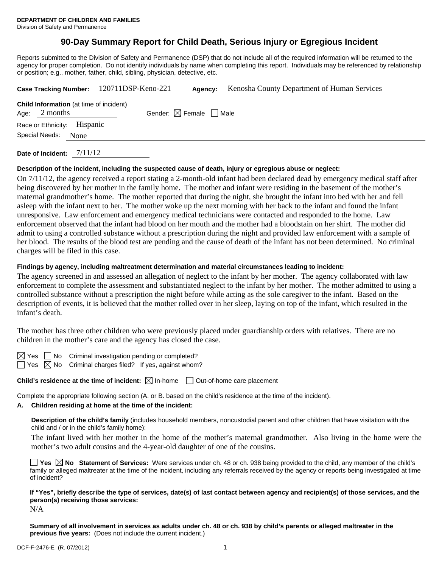# **90-Day Summary Report for Child Death, Serious Injury or Egregious Incident**

Reports submitted to the Division of Safety and Permanence (DSP) that do not include all of the required information will be returned to the agency for proper completion. Do not identify individuals by name when completing this report. Individuals may be referenced by relationship or position; e.g., mother, father, child, sibling, physician, detective, etc.

|                                                       |                                                | Case Tracking Number: 120711DSP-Keno-221 | Agency:                                | Kenosha County Department of Human Services |  |  |
|-------------------------------------------------------|------------------------------------------------|------------------------------------------|----------------------------------------|---------------------------------------------|--|--|
| Age: $2$ months                                       | <b>Child Information</b> (at time of incident) |                                          | Gender: $\boxtimes$ Female $\Box$ Male |                                             |  |  |
| Race or Ethnicity: Hispanic<br>Special Needs:<br>None |                                                |                                          |                                        |                                             |  |  |
|                                                       |                                                |                                          |                                        |                                             |  |  |

**Date of Incident:** 7/11/12

### **Description of the incident, including the suspected cause of death, injury or egregious abuse or neglect:**

On 7/11/12, the agency received a report stating a 2-month-old infant had been declared dead by emergency medical staff after being discovered by her mother in the family home. The mother and infant were residing in the basement of the mother's maternal grandmother's home. The mother reported that during the night, she brought the infant into bed with her and fell asleep with the infant next to her. The mother woke up the next morning with her back to the infant and found the infant unresponsive. Law enforcement and emergency medical technicians were contacted and responded to the home. Law enforcement observed that the infant had blood on her mouth and the mother had a bloodstain on her shirt. The mother did admit to using a controlled substance without a prescription during the night and provided law enforcement with a sample of her blood. The results of the blood test are pending and the cause of death of the infant has not been determined. No criminal charges will be filed in this case.

### **Findings by agency, including maltreatment determination and material circumstances leading to incident:**

The agency screened in and assessed an allegation of neglect to the infant by her mother. The agency collaborated with law enforcement to complete the assessment and substantiated neglect to the infant by her mother. The mother admitted to using a controlled substance without a prescription the night before while acting as the sole caregiver to the infant. Based on the description of events, it is believed that the mother rolled over in her sleep, laying on top of the infant, which resulted in the infant's death.

The mother has three other children who were previously placed under guardianship orders with relatives. There are no children in the mother's care and the agency has closed the case.

 $\boxtimes$  Yes  $\Box$  No Criminal investigation pending or completed?

 $\Box$  Yes  $\boxtimes$  No Criminal charges filed? If yes, against whom?

**Child's residence at the time of incident:**  $\boxtimes$  In-home  $\Box$  Out-of-home care placement

Complete the appropriate following section (A. or B. based on the child's residence at the time of the incident).

### **A. Children residing at home at the time of the incident:**

**Description of the child's family** (includes household members, noncustodial parent and other children that have visitation with the child and / or in the child's family home):

The infant lived with her mother in the home of the mother's maternal grandmother. Also living in the home were the mother's two adult cousins and the 4-year-old daughter of one of the cousins.

**Yes**  $\boxtimes$  **No** Statement of Services: Were services under ch. 48 or ch. 938 being provided to the child, any member of the child's family or alleged maltreater at the time of the incident, including any referrals received by the agency or reports being investigated at time of incident?

**If "Yes", briefly describe the type of services, date(s) of last contact between agency and recipient(s) of those services, and the person(s) receiving those services:**  N/A

**Summary of all involvement in services as adults under ch. 48 or ch. 938 by child's parents or alleged maltreater in the previous five years:** (Does not include the current incident.)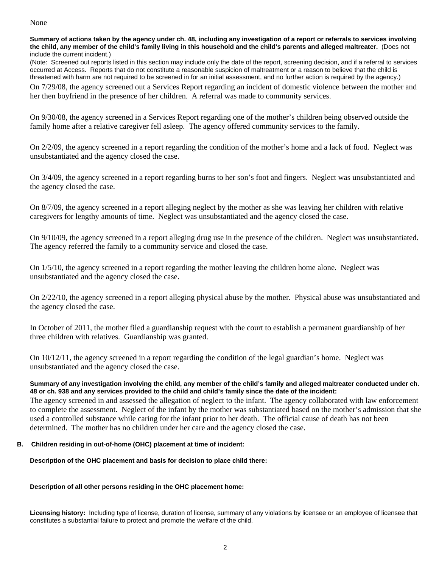### None

**Summary of actions taken by the agency under ch. 48, including any investigation of a report or referrals to services involving the child, any member of the child's family living in this household and the child's parents and alleged maltreater.** (Does not include the current incident.)

(Note: Screened out reports listed in this section may include only the date of the report, screening decision, and if a referral to services occurred at Access. Reports that do not constitute a reasonable suspicion of maltreatment or a reason to believe that the child is threatened with harm are not required to be screened in for an initial assessment, and no further action is required by the agency.)

On 7/29/08, the agency screened out a Services Report regarding an incident of domestic violence between the mother and her then boyfriend in the presence of her children. A referral was made to community services.

On 9/30/08, the agency screened in a Services Report regarding one of the mother's children being observed outside the family home after a relative caregiver fell asleep. The agency offered community services to the family.

On 2/2/09, the agency screened in a report regarding the condition of the mother's home and a lack of food. Neglect was unsubstantiated and the agency closed the case.

On 3/4/09, the agency screened in a report regarding burns to her son's foot and fingers. Neglect was unsubstantiated and the agency closed the case.

On 8/7/09, the agency screened in a report alleging neglect by the mother as she was leaving her children with relative caregivers for lengthy amounts of time. Neglect was unsubstantiated and the agency closed the case.

On 9/10/09, the agency screened in a report alleging drug use in the presence of the children. Neglect was unsubstantiated. The agency referred the family to a community service and closed the case.

On 1/5/10, the agency screened in a report regarding the mother leaving the children home alone. Neglect was unsubstantiated and the agency closed the case.

On 2/22/10, the agency screened in a report alleging physical abuse by the mother. Physical abuse was unsubstantiated and the agency closed the case.

In October of 2011, the mother filed a guardianship request with the court to establish a permanent guardianship of her three children with relatives. Guardianship was granted.

On 10/12/11, the agency screened in a report regarding the condition of the legal guardian's home. Neglect was unsubstantiated and the agency closed the case.

### **Summary of any investigation involving the child, any member of the child's family and alleged maltreater conducted under ch. 48 or ch. 938 and any services provided to the child and child's family since the date of the incident:**

The agency screened in and assessed the allegation of neglect to the infant. The agency collaborated with law enforcement to complete the assessment. Neglect of the infant by the mother was substantiated based on the mother's admission that she used a controlled substance while caring for the infant prior to her death. The official cause of death has not been determined. The mother has no children under her care and the agency closed the case.

## **B. Children residing in out-of-home (OHC) placement at time of incident:**

**Description of the OHC placement and basis for decision to place child there:** 

### **Description of all other persons residing in the OHC placement home:**

**Licensing history:** Including type of license, duration of license, summary of any violations by licensee or an employee of licensee that constitutes a substantial failure to protect and promote the welfare of the child.